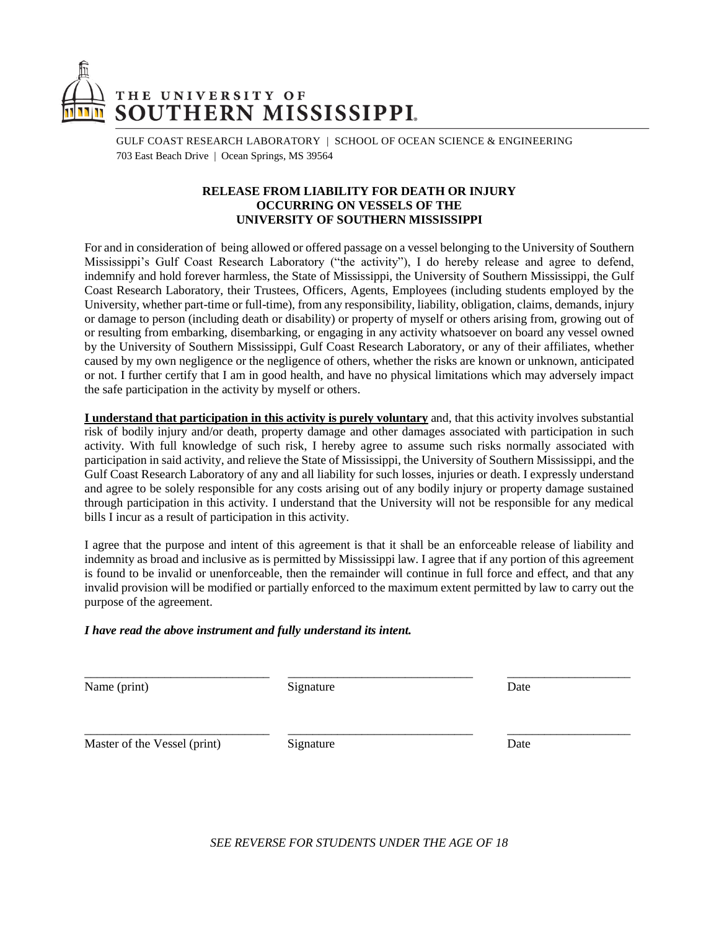

GULF COAST RESEARCH LABORATORY | SCHOOL OF OCEAN SCIENCE & ENGINEERING 703 East Beach Drive | Ocean Springs, MS 39564

## **RELEASE FROM LIABILITY FOR DEATH OR INJURY OCCURRING ON VESSELS OF THE UNIVERSITY OF SOUTHERN MISSISSIPPI**

For and in consideration of being allowed or offered passage on a vessel belonging to the University of Southern Mississippi's Gulf Coast Research Laboratory ("the activity"), I do hereby release and agree to defend, indemnify and hold forever harmless, the State of Mississippi, the University of Southern Mississippi, the Gulf Coast Research Laboratory, their Trustees, Officers, Agents, Employees (including students employed by the University, whether part-time or full-time), from any responsibility, liability, obligation, claims, demands, injury or damage to person (including death or disability) or property of myself or others arising from, growing out of or resulting from embarking, disembarking, or engaging in any activity whatsoever on board any vessel owned by the University of Southern Mississippi, Gulf Coast Research Laboratory, or any of their affiliates, whether caused by my own negligence or the negligence of others, whether the risks are known or unknown, anticipated or not. I further certify that I am in good health, and have no physical limitations which may adversely impact the safe participation in the activity by myself or others.

**I understand that participation in this activity is purely voluntary** and, that this activity involves substantial risk of bodily injury and/or death, property damage and other damages associated with participation in such activity. With full knowledge of such risk, I hereby agree to assume such risks normally associated with participation in said activity, and relieve the State of Mississippi, the University of Southern Mississippi, and the Gulf Coast Research Laboratory of any and all liability for such losses, injuries or death. I expressly understand and agree to be solely responsible for any costs arising out of any bodily injury or property damage sustained through participation in this activity. I understand that the University will not be responsible for any medical bills I incur as a result of participation in this activity.

I agree that the purpose and intent of this agreement is that it shall be an enforceable release of liability and indemnity as broad and inclusive as is permitted by Mississippi law. I agree that if any portion of this agreement is found to be invalid or unenforceable, then the remainder will continue in full force and effect, and that any invalid provision will be modified or partially enforced to the maximum extent permitted by law to carry out the purpose of the agreement.

#### *I have read the above instrument and fully understand its intent.*

Name (print) Signature Date Date

\_\_\_\_\_\_\_\_\_\_\_\_\_\_\_\_\_\_\_\_\_\_\_\_\_\_\_\_\_\_ \_\_\_\_\_\_\_\_\_\_\_\_\_\_\_\_\_\_\_\_\_\_\_\_\_\_\_\_\_\_ \_\_\_\_\_\_\_\_\_\_\_\_\_\_\_\_\_\_\_\_

Master of the Vessel (print) Signature Date Date

*SEE REVERSE FOR STUDENTS UNDER THE AGE OF 18*

\_\_\_\_\_\_\_\_\_\_\_\_\_\_\_\_\_\_\_\_\_\_\_\_\_\_\_\_\_\_ \_\_\_\_\_\_\_\_\_\_\_\_\_\_\_\_\_\_\_\_\_\_\_\_\_\_\_\_\_\_ \_\_\_\_\_\_\_\_\_\_\_\_\_\_\_\_\_\_\_\_